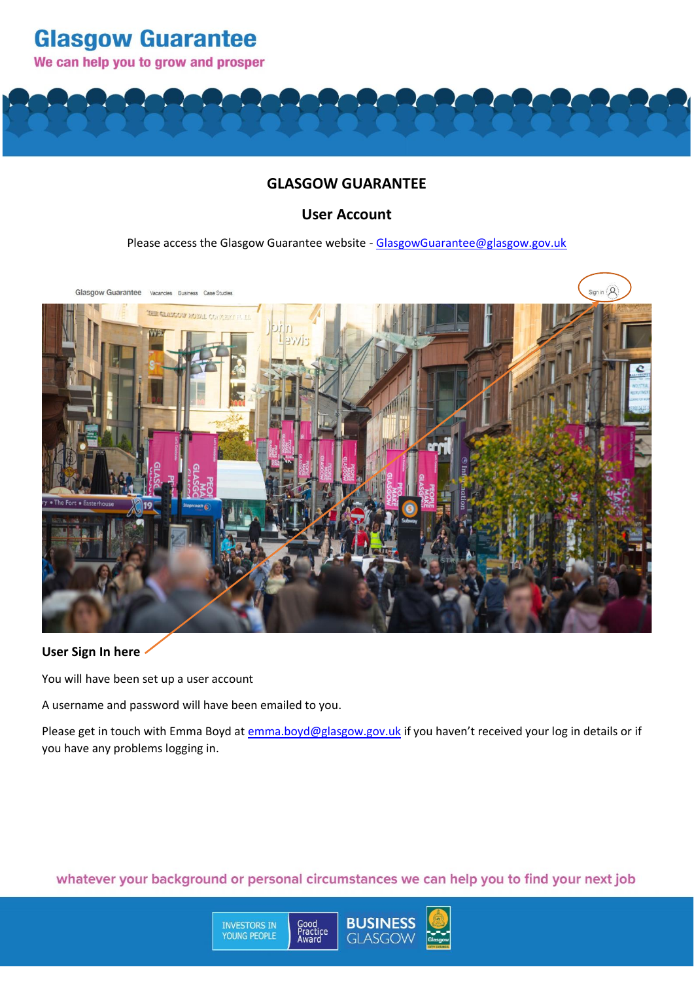We can help you to grow and prosper

**Glasgow Guarantee** 

### **GLASGOW GUARANTEE**

### **User Account**

Please access the Glasgow Guarantee website - GlasgowGuarantee@glasgow.gov.uk



### **User Sign In here**

You will have been set up a user account

A username and password will have been emailed to you.

**INVESTORS IN**<br>YOUNG PEOPLE

Please get in touch with Emma Boyd a[t emma.boyd@glasgow.gov.uk](mailto:emma.boyd@glasgow.gov.uk) if you haven't received your log in details or if you have any problems logging in.

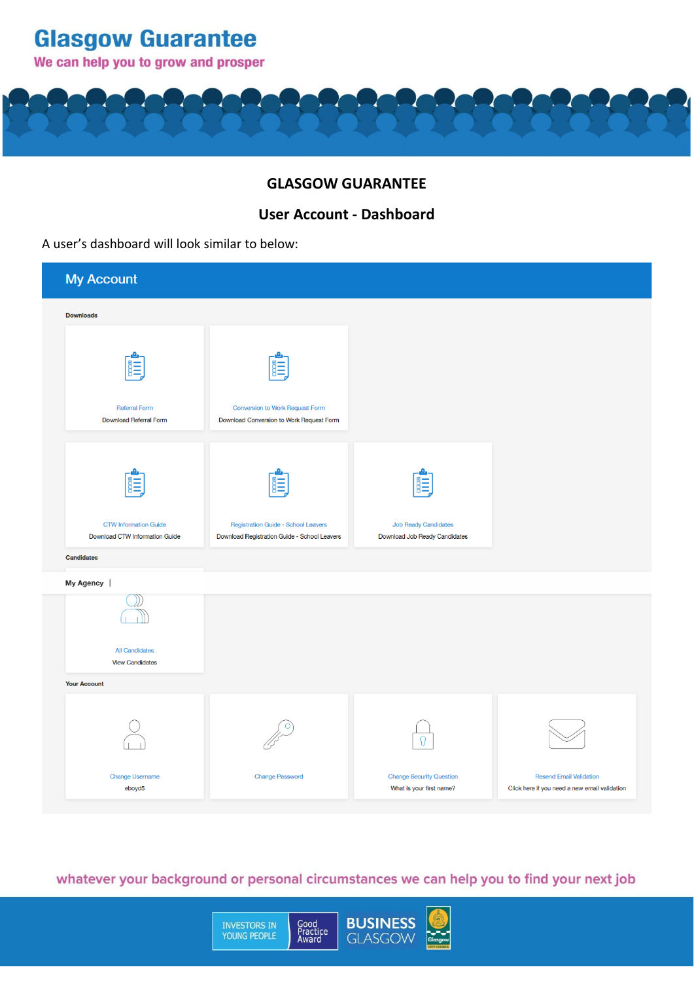**Glasgow Guarantee** 

We can help you to grow and prosper

## **GLASGOW GUARANTEE**

## **User Account - Dashboard**

#### A user's dashboard will look similar to below:

| <b>My Account</b>                                              |                                                                                     |                                                              |                                                                                 |  |  |  |
|----------------------------------------------------------------|-------------------------------------------------------------------------------------|--------------------------------------------------------------|---------------------------------------------------------------------------------|--|--|--|
| <b>Downloads</b>                                               |                                                                                     |                                                              |                                                                                 |  |  |  |
| <b>Referral Form</b><br><b>Download Referral Form</b>          | <b>Conversion to Work Request Form</b><br>Download Conversion to Work Request Form  |                                                              |                                                                                 |  |  |  |
| <b>CTW Information Guide</b><br>Download CTW Information Guide | Registration Guide - School Leavers<br>Download Registration Guide - School Leavers | <b>Job Ready Candidates</b><br>Download Job Ready Candidates |                                                                                 |  |  |  |
| Candidates<br>My Agency                                        |                                                                                     |                                                              |                                                                                 |  |  |  |
| <b>All Candidates</b>                                          |                                                                                     |                                                              |                                                                                 |  |  |  |
| <b>View Candidates</b>                                         |                                                                                     |                                                              |                                                                                 |  |  |  |
| <b>Your Account</b>                                            |                                                                                     |                                                              |                                                                                 |  |  |  |
|                                                                |                                                                                     |                                                              |                                                                                 |  |  |  |
| Change Username<br>eboyd5                                      | <b>Change Password</b>                                                              | <b>Change Security Question</b><br>What is your first name?  | <b>Resend Email Validation</b><br>Click here if you need a new email validation |  |  |  |

# whatever your background or personal circumstances we can help you to find your next job

INVESTORS IN<br>YOUNG PEOPLE

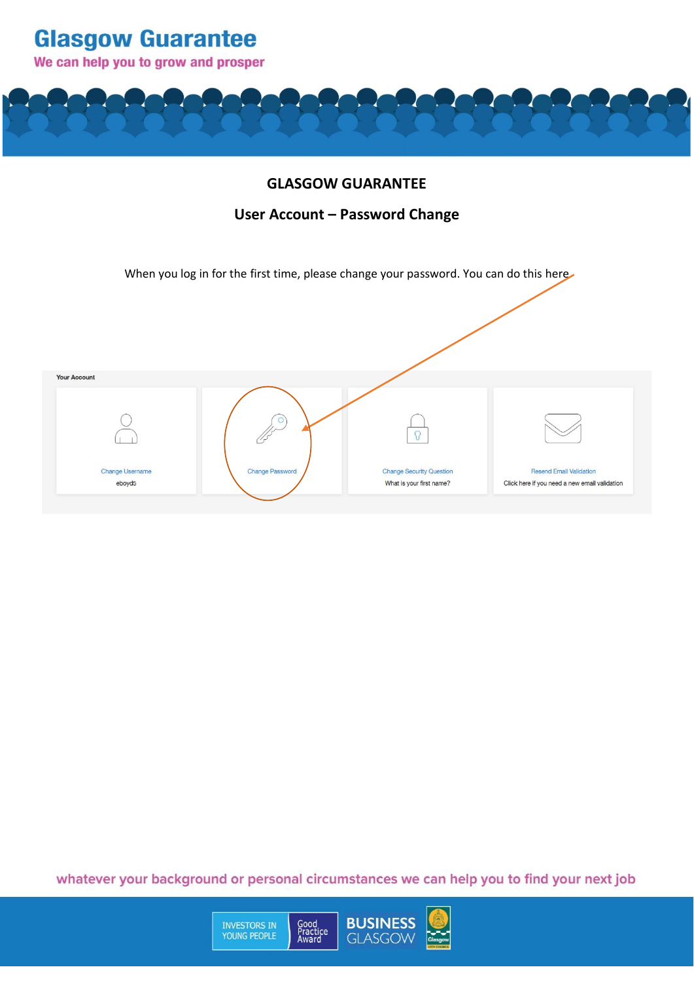**Glasgow Guarantee** We can help you to grow and prosper

### **GLASGOW GUARANTEE**

## **User Account – Password Change**

When you log in for the first time, please change your password. You can do this here



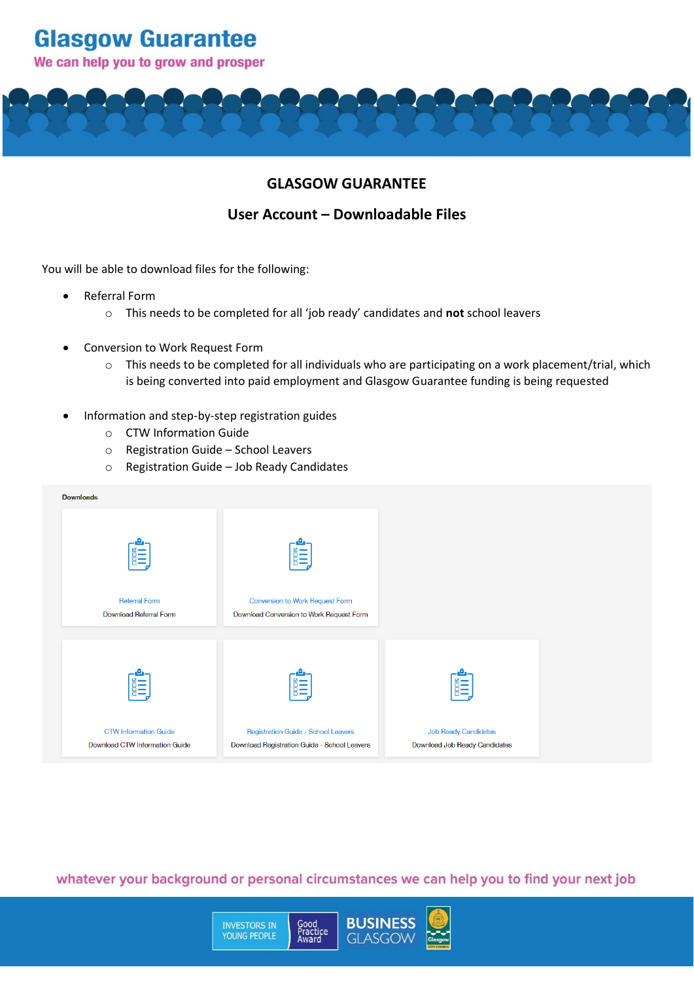# **Glasgow Guarantee**

### We can help you to grow and prosper



## **User Account – Downloadable Files**

You will be able to download files for the following:

- Referral Form
	- o This needs to be completed for all 'job ready' candidates and **not** school leavers
- Conversion to Work Request Form
	- o This needs to be completed for all individuals who are participating on a work placement/trial, which is being converted into paid employment and Glasgow Guarantee funding is being requested
- Information and step-by-step registration guides
	- o CTW Information Guide
	- o Registration Guide School Leavers
	- o Registration Guide Job Ready Candidates

| <b>Downloads</b>                                                      |                                                                                     |                                                              |
|-----------------------------------------------------------------------|-------------------------------------------------------------------------------------|--------------------------------------------------------------|
| 旨                                                                     |                                                                                     |                                                              |
| <b>Referral Form</b><br>Download Referral Form                        | Conversion to Work Request Form<br>Download Conversion to Work Request Form         |                                                              |
| 龍                                                                     |                                                                                     | 旨二                                                           |
| <b>CTW Information Guide</b><br><b>Download CTW Information Guide</b> | Registration Guide - School Leavers<br>Download Registration Guide - School Leavers | <b>Job Ready Candidates</b><br>Download Job Ready Candidates |

whatever your background or personal circumstances we can help you to find your next job

**INVESTORS IN**<br>YOUNG PEOPLE

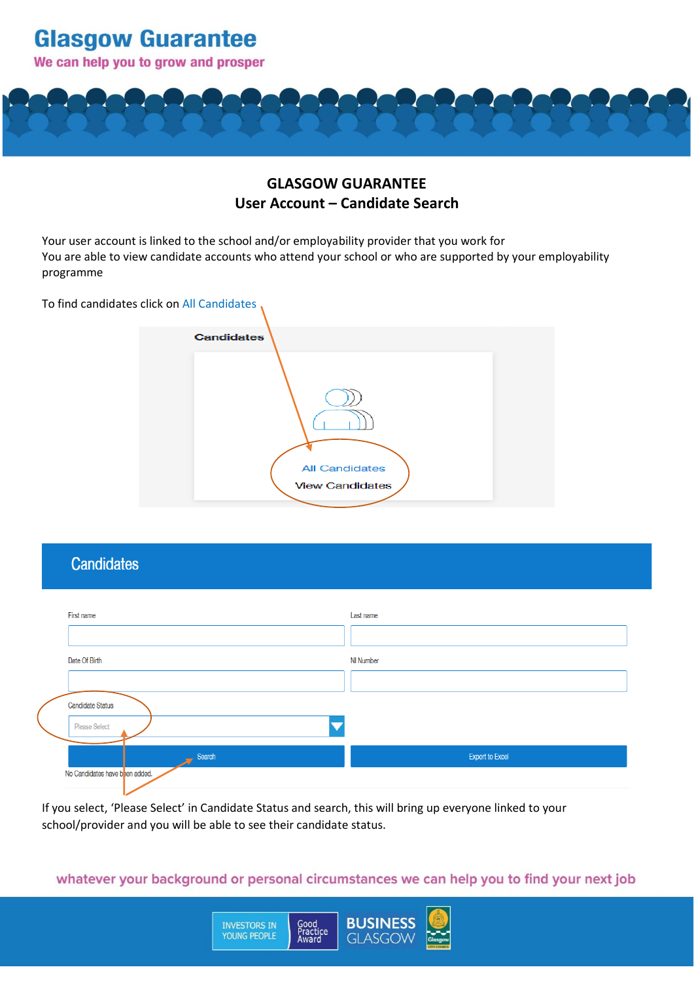

# **GLASGOW GUARANTEE User Account – Candidate Search**

Your user account is linked to the school and/or employability provider that you work for You are able to view candidate accounts who attend your school or who are supported by your employability programme

To find candidates click on All Candidates



# **Candidates**

| First name                     | Last name       |  |
|--------------------------------|-----------------|--|
|                                |                 |  |
| Date Of Birth                  | NI Number       |  |
|                                |                 |  |
| <b>Candidate Status</b>        |                 |  |
| Please Select                  |                 |  |
| Search                         | Export to Excel |  |
| No Candidates have been added. |                 |  |

If you select, 'Please Select' in Candidate Status and search, this will bring up everyone linked to your school/provider and you will be able to see their candidate status.

**INVESTORS IN**<br>YOUNG PEOPLE